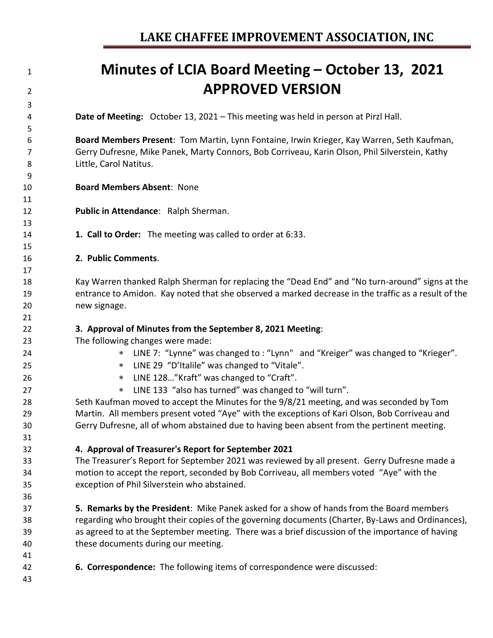**APPROVED VERSION Date of Meeting:** October 13, 2021 – This meeting was held in person at Pirzl Hall. **Board Members Present**: Tom Martin, Lynn Fontaine, Irwin Krieger, Kay Warren, Seth Kaufman, Gerry Dufresne, Mike Panek, Marty Connors, Bob Corriveau, Karin Olson, Phil Silverstein, Kathy Little, Carol Natitus. **Board Members Absent**: None **Public in Attendance**: Ralph Sherman. **1. Call to Order:** The meeting was called to order at 6:33. **2. Public Comments**. Kay Warren thanked Ralph Sherman for replacing the "Dead End" and "No turn-around" signs at the entrance to Amidon. Kay noted that she observed a marked decrease in the traffic as a result of the new signage. **3. Approval of Minutes from the September 8, 2021 Meeting**: The following changes were made: LINE 7: "Lynne" was changed to : "Lynn" and "Kreiger" was changed to "Krieger". LINE 29 "D'Italile" was changed to "Vitale". LINE 128…"Kraft" was changed to "Craft". LINE 133 "also has turned" was changed to "will turn". Seth Kaufman moved to accept the Minutes for the 9/8/21 meeting, and was seconded by Tom Martin. All members present voted "Aye" with the exceptions of Kari Olson, Bob Corriveau and Gerry Dufresne, all of whom abstained due to having been absent from the pertinent meeting. **4. Approval of Treasurer's Report for September 2021** The Treasurer's Report for September 2021 was reviewed by all present. Gerry Dufresne made a motion to accept the report, seconded by Bob Corriveau, all members voted "Aye" with the exception of Phil Silverstein who abstained. **5. Remarks by the President**: Mike Panek asked for a show of hands from the Board members regarding who brought their copies of the governing documents (Charter, By-Laws and Ordinances), as agreed to at the September meeting. There was a brief discussion of the importance of having these documents during our meeting.

**Minutes of LCIA Board Meeting – October 13, 2021**

- 
- **6. Correspondence:** The following items of correspondence were discussed:
-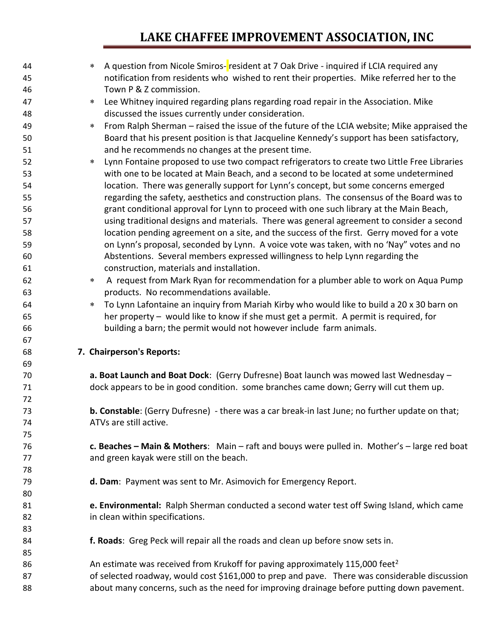| 44       | $\ast$ | A question from Nicole Smiros-resident at 7 Oak Drive - inquired if LCIA required any                                      |
|----------|--------|----------------------------------------------------------------------------------------------------------------------------|
| 45<br>46 |        | notification from residents who wished to rent their properties. Mike referred her to the<br>Town P & Z commission.        |
| 47       | $\ast$ | Lee Whitney inquired regarding plans regarding road repair in the Association. Mike                                        |
|          |        |                                                                                                                            |
| 48       |        | discussed the issues currently under consideration.                                                                        |
| 49       | $\ast$ | From Ralph Sherman – raised the issue of the future of the LCIA website; Mike appraised the                                |
| 50       |        | Board that his present position is that Jacqueline Kennedy's support has been satisfactory,                                |
| 51       |        | and he recommends no changes at the present time.                                                                          |
| 52       | $\ast$ | Lynn Fontaine proposed to use two compact refrigerators to create two Little Free Libraries                                |
| 53       |        | with one to be located at Main Beach, and a second to be located at some undetermined                                      |
| 54       |        | location. There was generally support for Lynn's concept, but some concerns emerged                                        |
| 55       |        | regarding the safety, aesthetics and construction plans. The consensus of the Board was to                                 |
| 56       |        | grant conditional approval for Lynn to proceed with one such library at the Main Beach,                                    |
| 57       |        | using traditional designs and materials. There was general agreement to consider a second                                  |
| 58       |        | location pending agreement on a site, and the success of the first. Gerry moved for a vote                                 |
| 59       |        | on Lynn's proposal, seconded by Lynn. A voice vote was taken, with no 'Nay" votes and no                                   |
| 60       |        | Abstentions. Several members expressed willingness to help Lynn regarding the<br>construction, materials and installation. |
| 61       |        |                                                                                                                            |
| 62       | $\ast$ | A request from Mark Ryan for recommendation for a plumber able to work on Aqua Pump                                        |
| 63       |        | products. No recommendations available.                                                                                    |
| 64       | $\ast$ | To Lynn Lafontaine an inquiry from Mariah Kirby who would like to build a 20 x 30 barn on                                  |
| 65       |        | her property - would like to know if she must get a permit. A permit is required, for                                      |
| 66       |        | building a barn; the permit would not however include farm animals.                                                        |
| 67<br>68 |        |                                                                                                                            |
| 69       |        | 7. Chairperson's Reports:                                                                                                  |
| 70       |        | a. Boat Launch and Boat Dock: (Gerry Dufresne) Boat launch was mowed last Wednesday -                                      |
| 71       |        | dock appears to be in good condition. some branches came down; Gerry will cut them up.                                     |
| 72       |        |                                                                                                                            |
| 73       |        | b. Constable: (Gerry Dufresne) - there was a car break-in last June; no further update on that;                            |
| 74       |        | ATVs are still active.                                                                                                     |
| 75       |        |                                                                                                                            |
| 76       |        | c. Beaches – Main & Mothers: Main – raft and bouys were pulled in. Mother's – large red boat                               |
| 77       |        | and green kayak were still on the beach.                                                                                   |
| 78       |        |                                                                                                                            |
| 79       |        | d. Dam: Payment was sent to Mr. Asimovich for Emergency Report.                                                            |
| 80       |        |                                                                                                                            |
| 81       |        | e. Environmental: Ralph Sherman conducted a second water test off Swing Island, which came                                 |
| 82       |        | in clean within specifications.                                                                                            |
| 83       |        |                                                                                                                            |
| 84       |        | f. Roads: Greg Peck will repair all the roads and clean up before snow sets in.                                            |
| 85       |        |                                                                                                                            |
| 86       |        | An estimate was received from Krukoff for paving approximately 115,000 feet <sup>2</sup>                                   |
| 87       |        | of selected roadway, would cost \$161,000 to prep and pave. There was considerable discussion                              |
| 88       |        | about many concerns, such as the need for improving drainage before putting down pavement.                                 |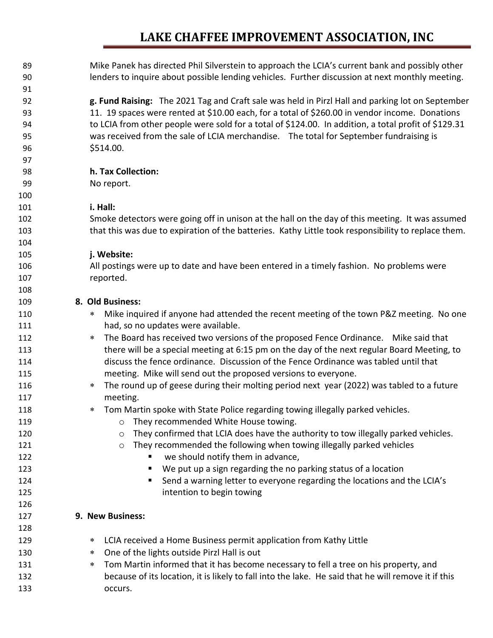| 89  | Mike Panek has directed Phil Silverstein to approach the LCIA's current bank and possibly other      |
|-----|------------------------------------------------------------------------------------------------------|
| 90  | lenders to inquire about possible lending vehicles. Further discussion at next monthly meeting.      |
| 91  |                                                                                                      |
| 92  | g. Fund Raising: The 2021 Tag and Craft sale was held in Pirzl Hall and parking lot on September     |
| 93  | 11. 19 spaces were rented at \$10.00 each, for a total of \$260.00 in vendor income. Donations       |
| 94  | to LCIA from other people were sold for a total of \$124.00. In addition, a total profit of \$129.31 |
| 95  | was received from the sale of LCIA merchandise. The total for September fundraising is               |
| 96  | \$514.00.                                                                                            |
| 97  |                                                                                                      |
| 98  | h. Tax Collection:                                                                                   |
| 99  | No report.                                                                                           |
| 100 |                                                                                                      |
| 101 | i. Hall:                                                                                             |
| 102 | Smoke detectors were going off in unison at the hall on the day of this meeting. It was assumed      |
| 103 | that this was due to expiration of the batteries. Kathy Little took responsibility to replace them.  |
| 104 |                                                                                                      |
| 105 | j. Website:                                                                                          |
| 106 | All postings were up to date and have been entered in a timely fashion. No problems were             |
| 107 | reported.                                                                                            |
| 108 |                                                                                                      |
| 109 | 8. Old Business:                                                                                     |
| 110 | Mike inquired if anyone had attended the recent meeting of the town P&Z meeting. No one<br>$\ast$    |
| 111 | had, so no updates were available.                                                                   |
| 112 | The Board has received two versions of the proposed Fence Ordinance. Mike said that<br>$\ast$        |
| 113 | there will be a special meeting at 6:15 pm on the day of the next regular Board Meeting, to          |
| 114 | discuss the fence ordinance. Discussion of the Fence Ordinance was tabled until that                 |
| 115 | meeting. Mike will send out the proposed versions to everyone.                                       |
| 116 | The round up of geese during their molting period next year (2022) was tabled to a future<br>$\ast$  |
| 117 | meeting.                                                                                             |
| 118 | Tom Martin spoke with State Police regarding towing illegally parked vehicles.<br>∗                  |
| 119 | They recommended White House towing.<br>O                                                            |
| 120 | They confirmed that LCIA does have the authority to tow illegally parked vehicles.<br>$\circ$        |
| 121 | They recommended the following when towing illegally parked vehicles<br>$\circ$                      |
| 122 | we should notify them in advance,                                                                    |
| 123 | We put up a sign regarding the no parking status of a location<br>п                                  |
| 124 | Send a warning letter to everyone regarding the locations and the LCIA's                             |
| 125 | intention to begin towing                                                                            |
| 126 |                                                                                                      |
| 127 | 9. New Business:                                                                                     |
| 128 |                                                                                                      |
| 129 | LCIA received a Home Business permit application from Kathy Little<br>∗                              |
| 130 | One of the lights outside Pirzl Hall is out<br>$\ast$                                                |
| 131 | Tom Martin informed that it has become necessary to fell a tree on his property, and<br>$\ast$       |
| 132 | because of its location, it is likely to fall into the lake. He said that he will remove it if this  |
| 133 | occurs.                                                                                              |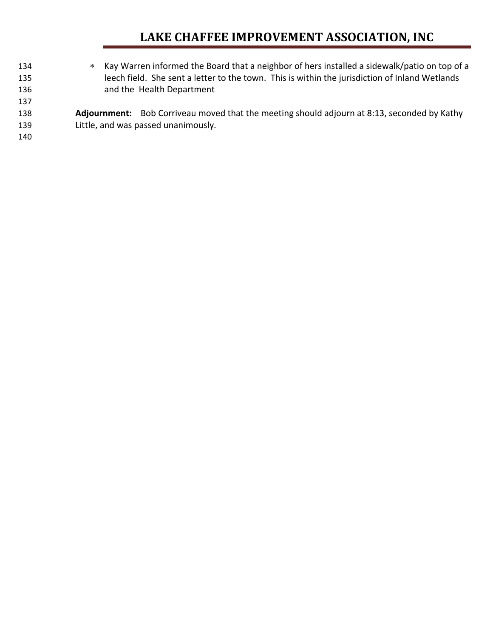Kay Warren informed the Board that a neighbor of hers installed a sidewalk/patio on top of a leech field. She sent a letter to the town. This is within the jurisdiction of Inland Wetlands and the Health Department **Adjournment:** Bob Corriveau moved that the meeting should adjourn at 8:13, seconded by Kathy Little, and was passed unanimously.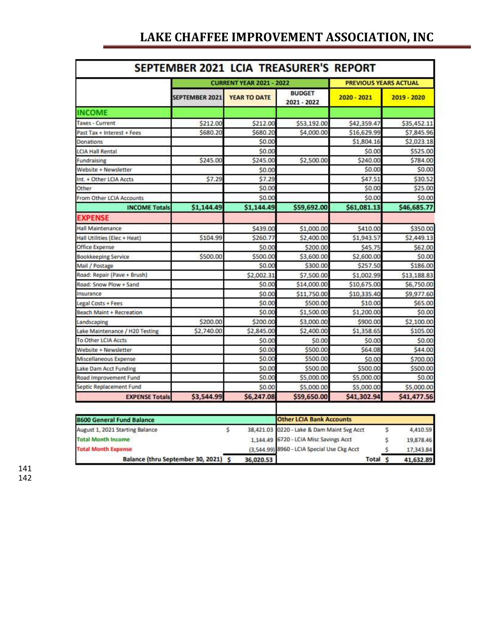| SEPTEMBER 2021 LCIA TREASURER'S REPORT |                       |                                 |                              |                              |             |  |  |  |
|----------------------------------------|-----------------------|---------------------------------|------------------------------|------------------------------|-------------|--|--|--|
|                                        |                       | <b>CURRENT YEAR 2021 - 2022</b> |                              | <b>PREVIOUS YEARS ACTUAL</b> |             |  |  |  |
|                                        | <b>SEPTEMBER 2021</b> | <b>YEAR TO DATE</b>             | <b>BUDGET</b><br>2021 - 2022 | 2020 - 2021                  | 2019 - 2020 |  |  |  |
| <b>INCOME</b>                          |                       |                                 |                              |                              |             |  |  |  |
| <b>Taxes - Current</b>                 | \$212.00              | \$212.00                        | \$53,192.00                  | \$42,359.47                  | \$35,452.11 |  |  |  |
| Past Tax + Interest + Fees             | \$680.20              | \$680.20                        | \$4,000.00                   | \$16,629.99                  | \$7,845.96  |  |  |  |
| Donations                              |                       | \$0.00                          |                              | \$1,804.16                   | \$2,023.18  |  |  |  |
| <b>LCIA Hall Rental</b>                |                       | \$0.00                          |                              | \$0.00                       | \$525.00    |  |  |  |
| Fundraising                            | \$245.00              | \$245.00                        | \$2,500.00                   | \$240.00                     | \$784.00    |  |  |  |
| Website + Newsletter                   |                       | \$0.00                          |                              | \$0.00                       | \$0.00      |  |  |  |
| Int. + Other LCIA Accts                | \$7.29                | \$7.29                          |                              | \$47.51                      | \$30.52     |  |  |  |
| Other                                  |                       | \$0.00                          |                              | \$0.00                       | \$25.00     |  |  |  |
| From Other LCIA Accounts               |                       | \$0.00                          |                              | \$0.00                       | \$0.00      |  |  |  |
| <b>INCOME Totals</b>                   | \$1,144.49            | \$1,144.49                      | \$59,692.00                  | \$61,081.13                  | \$46,685.77 |  |  |  |
| <b>EXPENSE</b>                         |                       |                                 |                              |                              |             |  |  |  |
| Hall Maintenance                       |                       | \$439.00                        | \$1,000.00                   | \$410.00                     | \$350.00    |  |  |  |
| Hall Utilities (Elec + Heat)           | \$104.99              | \$260.77                        | \$2,400.00                   | \$1,943.57                   | \$2,449.13  |  |  |  |
| Office Expense                         |                       | \$0.00                          | \$200.00                     | \$45.75                      | \$62.00     |  |  |  |
| Bookkeeping Service                    | \$500.00              | \$500.00                        | \$3,600.00                   | \$2,600.00                   | \$0.00      |  |  |  |
| Mail / Postage                         |                       | \$0.00                          | \$300.00                     | \$257.50                     | \$186.00    |  |  |  |
| Road: Repair (Pave + Brush)            |                       | \$2,002.31                      | \$7,500.00                   | \$1,002.99                   | \$13,188.83 |  |  |  |
| Road: Snow Plow + Sand                 |                       | \$0.00                          | \$14,000.00                  | \$10,675.00                  | \$6,750.00  |  |  |  |
| Insurance                              |                       | \$0.00                          | \$11,750.00                  | \$10,335.40                  | \$9,977.60  |  |  |  |
| Legal Costs + Fees                     |                       | \$0.00                          | \$500.00                     | \$10.00                      | \$65.00     |  |  |  |
| <b>Beach Maint + Recreation</b>        |                       | \$0.00                          | \$1,500.00                   | \$1,200.00                   | \$0.00      |  |  |  |
| Landscaping                            | \$200.00              | \$200.00                        | \$3,000.00                   | \$900.00                     | \$2,100.00  |  |  |  |
| Lake Maintenance / H20 Testing         | \$2,740.00            | \$2,845.00                      | \$2,400.00                   | \$1,358.65                   | \$105.00    |  |  |  |
| To Other LCIA Accts                    |                       | \$0.00                          | \$0.00                       | \$0.00                       | \$0.00      |  |  |  |
| Website + Newsletter                   |                       | \$0.00                          | \$500.00                     | \$64.08                      | \$44.00     |  |  |  |
| Miscellaneous Expense                  |                       | \$0.00                          | \$500.00                     | \$0.00                       | \$700.00    |  |  |  |
| Lake Dam Acct Funding                  |                       | \$0.00                          | \$500.00                     | \$500.00                     | \$500.00    |  |  |  |
| Road Improvement Fund                  |                       | \$0.00                          | \$5,000.00                   | \$5,000.00                   | \$0.00      |  |  |  |
| Septic Replacement Fund                |                       | \$0.00                          | \$5,000.00                   | \$5,000.00                   | \$5,000.00  |  |  |  |
| <b>EXPENSE Totals</b>                  | \$3,544.99            | \$6,247.08                      | \$59,650.00                  | \$41,302.94                  | \$41,477.56 |  |  |  |

| 8600 General Fund Balance            |  |           | <b>Other LCIA Bank Accounts</b>             |                    |  |           |  |
|--------------------------------------|--|-----------|---------------------------------------------|--------------------|--|-----------|--|
| August 1, 2021 Starting Balance      |  |           | 38,421.03 0220 - Lake & Dam Maint Svg Acct  |                    |  | 4,410.59  |  |
| <b>Total Month Income</b>            |  |           | 1.144.49 6720 - LCIA Misc Savings Acct      |                    |  | 19,878.46 |  |
| <b>Total Month Expense</b>           |  |           | (3,544.99) 8960 - LCIA Special Use Ckg Acct |                    |  | 17,343.84 |  |
| Balance (thru September 30, 2021) \$ |  | 36,020.53 |                                             | Total <sub>S</sub> |  | 41,632.89 |  |